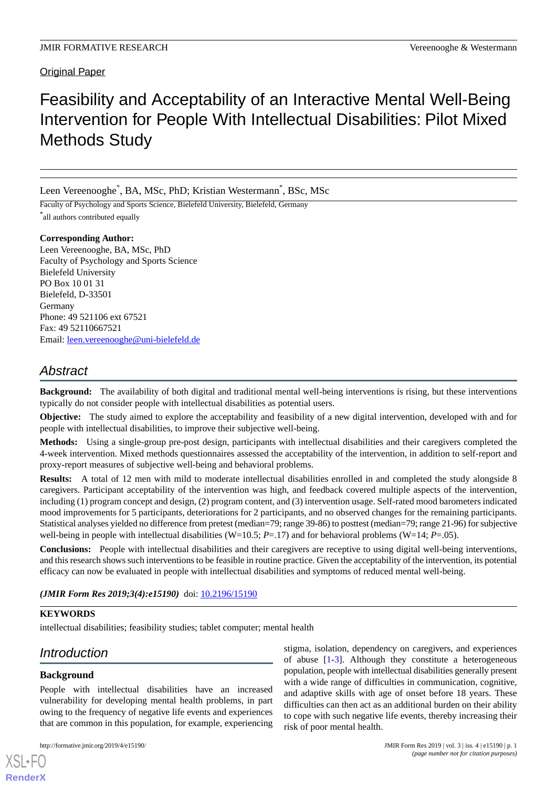## Original Paper

# Feasibility and Acceptability of an Interactive Mental Well-Being Intervention for People With Intellectual Disabilities: Pilot Mixed Methods Study

Leen Vereenooghe<sup>\*</sup>, BA, MSc, PhD; Kristian Westermann<sup>\*</sup>, BSc, MSc

Faculty of Psychology and Sports Science, Bielefeld University, Bielefeld, Germany \* all authors contributed equally

## **Corresponding Author:**

Leen Vereenooghe, BA, MSc, PhD Faculty of Psychology and Sports Science Bielefeld University PO Box 10 01 31 Bielefeld, D-33501 Germany Phone: 49 521106 ext 67521 Fax: 49 52110667521 Email: [leen.vereenooghe@uni-bielefeld.de](mailto:leen.vereenooghe@uni-bielefeld.de)

## *Abstract*

**Background:** The availability of both digital and traditional mental well-being interventions is rising, but these interventions typically do not consider people with intellectual disabilities as potential users.

**Objective:** The study aimed to explore the acceptability and feasibility of a new digital intervention, developed with and for people with intellectual disabilities, to improve their subjective well-being.

**Methods:** Using a single-group pre-post design, participants with intellectual disabilities and their caregivers completed the 4-week intervention. Mixed methods questionnaires assessed the acceptability of the intervention, in addition to self-report and proxy-report measures of subjective well-being and behavioral problems.

**Results:** A total of 12 men with mild to moderate intellectual disabilities enrolled in and completed the study alongside 8 caregivers. Participant acceptability of the intervention was high, and feedback covered multiple aspects of the intervention, including (1) program concept and design, (2) program content, and (3) intervention usage. Self-rated mood barometers indicated mood improvements for 5 participants, deteriorations for 2 participants, and no observed changes for the remaining participants. Statistical analyses yielded no difference from pretest (median=79; range 39-86) to posttest (median=79; range 21-96) for subjective well-being in people with intellectual disabilities (W=10.5; *P*=.17) and for behavioral problems (W=14; *P*=.05).

**Conclusions:** People with intellectual disabilities and their caregivers are receptive to using digital well-being interventions, and this research shows such interventions to be feasible in routine practice. Given the acceptability of the intervention, its potential efficacy can now be evaluated in people with intellectual disabilities and symptoms of reduced mental well-being.

(JMIR Form Res 2019;3(4):e15190) doi: [10.2196/15190](http://dx.doi.org/10.2196/15190)

## **KEYWORDS**

intellectual disabilities; feasibility studies; tablet computer; mental health

## *Introduction*

## **Background**

People with intellectual disabilities have an increased vulnerability for developing mental health problems, in part owing to the frequency of negative life events and experiences that are common in this population, for example, experiencing

stigma, isolation, dependency on caregivers, and experiences of abuse [\[1](#page-9-0)-[3\]](#page-10-0). Although they constitute a heterogeneous population, people with intellectual disabilities generally present with a wide range of difficulties in communication, cognitive, and adaptive skills with age of onset before 18 years. These difficulties can then act as an additional burden on their ability to cope with such negative life events, thereby increasing their risk of poor mental health.

[XSL](http://www.w3.org/Style/XSL)•FO **[RenderX](http://www.renderx.com/)**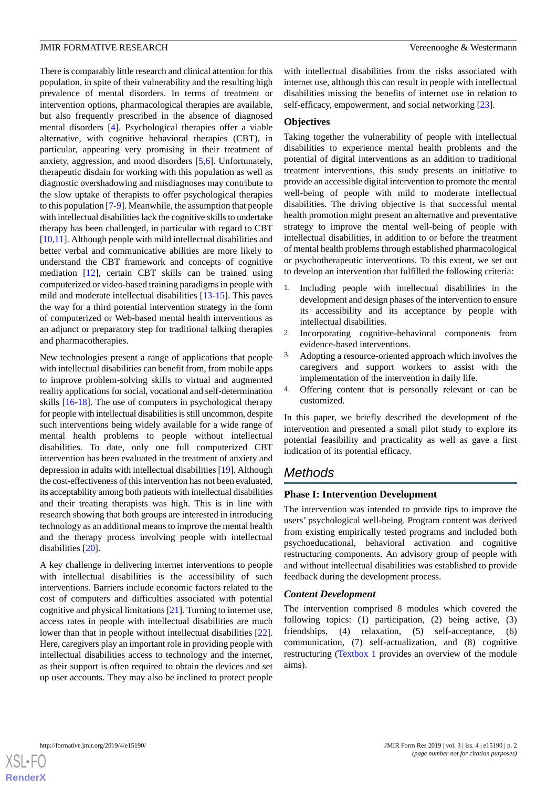There is comparably little research and clinical attention for this population, in spite of their vulnerability and the resulting high prevalence of mental disorders. In terms of treatment or intervention options, pharmacological therapies are available, but also frequently prescribed in the absence of diagnosed mental disorders [\[4\]](#page-10-1). Psychological therapies offer a viable alternative, with cognitive behavioral therapies (CBT), in particular, appearing very promising in their treatment of anxiety, aggression, and mood disorders [\[5](#page-10-2),[6\]](#page-10-3). Unfortunately, therapeutic disdain for working with this population as well as diagnostic overshadowing and misdiagnoses may contribute to the slow uptake of therapists to offer psychological therapies to this population [\[7](#page-10-4)-[9\]](#page-10-5). Meanwhile, the assumption that people with intellectual disabilities lack the cognitive skills to undertake therapy has been challenged, in particular with regard to CBT [[10](#page-10-6)[,11](#page-10-7)]. Although people with mild intellectual disabilities and better verbal and communicative abilities are more likely to understand the CBT framework and concepts of cognitive mediation [\[12](#page-10-8)], certain CBT skills can be trained using computerized or video-based training paradigms in people with mild and moderate intellectual disabilities [[13](#page-10-9)[-15](#page-10-10)]. This paves the way for a third potential intervention strategy in the form of computerized or Web-based mental health interventions as an adjunct or preparatory step for traditional talking therapies and pharmacotherapies.

New technologies present a range of applications that people with intellectual disabilities can benefit from, from mobile apps to improve problem-solving skills to virtual and augmented reality applications for social, vocational and self-determination skills [[16](#page-10-11)[-18](#page-10-12)]. The use of computers in psychological therapy for people with intellectual disabilities is still uncommon, despite such interventions being widely available for a wide range of mental health problems to people without intellectual disabilities. To date, only one full computerized CBT intervention has been evaluated in the treatment of anxiety and depression in adults with intellectual disabilities [\[19](#page-10-13)]. Although the cost-effectiveness of this intervention has not been evaluated, its acceptability among both patients with intellectual disabilities and their treating therapists was high. This is in line with research showing that both groups are interested in introducing technology as an additional means to improve the mental health and the therapy process involving people with intellectual disabilities [[20\]](#page-10-14).

A key challenge in delivering internet interventions to people with intellectual disabilities is the accessibility of such interventions. Barriers include economic factors related to the cost of computers and difficulties associated with potential cognitive and physical limitations [[21\]](#page-10-15). Turning to internet use, access rates in people with intellectual disabilities are much lower than that in people without intellectual disabilities [[22\]](#page-10-16). Here, caregivers play an important role in providing people with intellectual disabilities access to technology and the internet, as their support is often required to obtain the devices and set up user accounts. They may also be inclined to protect people

with intellectual disabilities from the risks associated with internet use, although this can result in people with intellectual disabilities missing the benefits of internet use in relation to self-efficacy, empowerment, and social networking [\[23](#page-10-17)].

#### **Objectives**

Taking together the vulnerability of people with intellectual disabilities to experience mental health problems and the potential of digital interventions as an addition to traditional treatment interventions, this study presents an initiative to provide an accessible digital intervention to promote the mental well-being of people with mild to moderate intellectual disabilities. The driving objective is that successful mental health promotion might present an alternative and preventative strategy to improve the mental well-being of people with intellectual disabilities, in addition to or before the treatment of mental health problems through established pharmacological or psychotherapeutic interventions. To this extent, we set out to develop an intervention that fulfilled the following criteria:

- 1. Including people with intellectual disabilities in the development and design phases of the intervention to ensure its accessibility and its acceptance by people with intellectual disabilities.
- 2. Incorporating cognitive-behavioral components from evidence-based interventions.
- 3. Adopting a resource-oriented approach which involves the caregivers and support workers to assist with the implementation of the intervention in daily life.
- 4. Offering content that is personally relevant or can be customized.

In this paper, we briefly described the development of the intervention and presented a small pilot study to explore its potential feasibility and practicality as well as gave a first indication of its potential efficacy.

## *Methods*

#### **Phase I: Intervention Development**

The intervention was intended to provide tips to improve the users' psychological well-being. Program content was derived from existing empirically tested programs and included both psychoeducational, behavioral activation and cognitive restructuring components. An advisory group of people with and without intellectual disabilities was established to provide feedback during the development process.

## *Content Development*

The intervention comprised 8 modules which covered the following topics: (1) participation, (2) being active, (3) friendships, (4) relaxation, (5) self-acceptance, (6) communication, (7) self-actualization, and (8) cognitive restructuring [\(Textbox 1](#page-2-0) provides an overview of the module aims).

**[RenderX](http://www.renderx.com/)**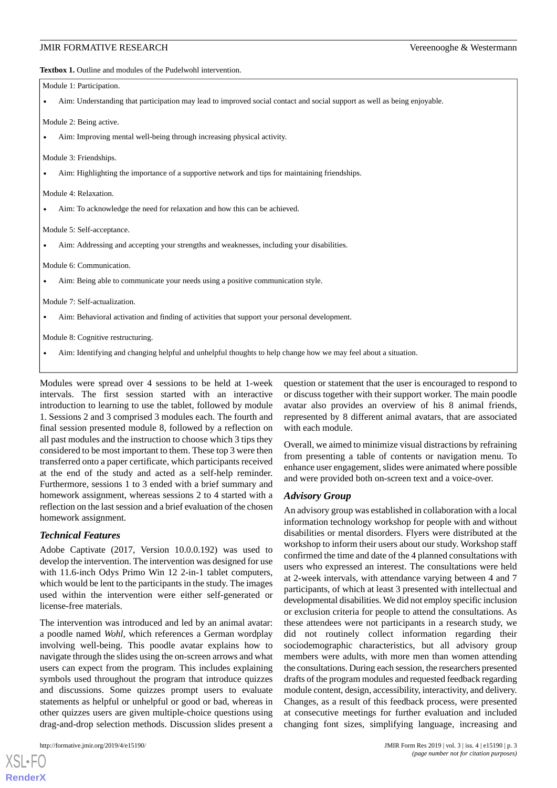<span id="page-2-0"></span>**Textbox 1.** Outline and modules of the Pudelwohl intervention.

| Module 1: Participation.                                                                                                 |
|--------------------------------------------------------------------------------------------------------------------------|
| Aim: Understanding that participation may lead to improved social contact and social support as well as being enjoyable. |
| Module 2: Being active.                                                                                                  |
| Aim: Improving mental well-being through increasing physical activity.                                                   |
| Module 3: Friendships.                                                                                                   |
| Aim: Highlighting the importance of a supportive network and tips for maintaining friendships.<br>$\bullet$              |
| Module 4: Relaxation.                                                                                                    |
| Aim: To acknowledge the need for relaxation and how this can be achieved.                                                |
| Module 5: Self-acceptance.                                                                                               |
| Aim: Addressing and accepting your strengths and weaknesses, including your disabilities.                                |
| Module 6: Communication.                                                                                                 |
| Aim: Being able to communicate your needs using a positive communication style.<br>$\bullet$                             |
| Module 7: Self-actualization.                                                                                            |
| Aim: Behavioral activation and finding of activities that support your personal development.                             |
| Module 8: Cognitive restructuring.                                                                                       |
| Aim: Identifying and changing helpful and unhelpful thoughts to help change how we may feel about a situation.           |

Modules were spread over 4 sessions to be held at 1-week intervals. The first session started with an interactive introduction to learning to use the tablet, followed by module 1. Sessions 2 and 3 comprised 3 modules each. The fourth and final session presented module 8, followed by a reflection on all past modules and the instruction to choose which 3 tips they considered to be most important to them. These top 3 were then transferred onto a paper certificate, which participants received at the end of the study and acted as a self-help reminder. Furthermore, sessions 1 to 3 ended with a brief summary and homework assignment, whereas sessions 2 to 4 started with a reflection on the last session and a brief evaluation of the chosen homework assignment.

## *Technical Features*

Adobe Captivate (2017, Version 10.0.0.192) was used to develop the intervention. The intervention was designed for use with 11.6-inch Odys Primo Win 12 2-in-1 tablet computers, which would be lent to the participants in the study. The images used within the intervention were either self-generated or license-free materials.

The intervention was introduced and led by an animal avatar: a poodle named *Wohl*, which references a German wordplay involving well-being. This poodle avatar explains how to navigate through the slides using the on-screen arrows and what users can expect from the program. This includes explaining symbols used throughout the program that introduce quizzes and discussions. Some quizzes prompt users to evaluate statements as helpful or unhelpful or good or bad, whereas in other quizzes users are given multiple-choice questions using drag-and-drop selection methods. Discussion slides present a

[XSL](http://www.w3.org/Style/XSL)•FO **[RenderX](http://www.renderx.com/)**

question or statement that the user is encouraged to respond to or discuss together with their support worker. The main poodle avatar also provides an overview of his 8 animal friends, represented by 8 different animal avatars, that are associated with each module.

Overall, we aimed to minimize visual distractions by refraining from presenting a table of contents or navigation menu. To enhance user engagement, slides were animated where possible and were provided both on-screen text and a voice-over.

#### *Advisory Group*

An advisory group was established in collaboration with a local information technology workshop for people with and without disabilities or mental disorders. Flyers were distributed at the workshop to inform their users about our study. Workshop staff confirmed the time and date of the 4 planned consultations with users who expressed an interest. The consultations were held at 2-week intervals, with attendance varying between 4 and 7 participants, of which at least 3 presented with intellectual and developmental disabilities. We did not employ specific inclusion or exclusion criteria for people to attend the consultations. As these attendees were not participants in a research study, we did not routinely collect information regarding their sociodemographic characteristics, but all advisory group members were adults, with more men than women attending the consultations. During each session, the researchers presented drafts of the program modules and requested feedback regarding module content, design, accessibility, interactivity, and delivery. Changes, as a result of this feedback process, were presented at consecutive meetings for further evaluation and included changing font sizes, simplifying language, increasing and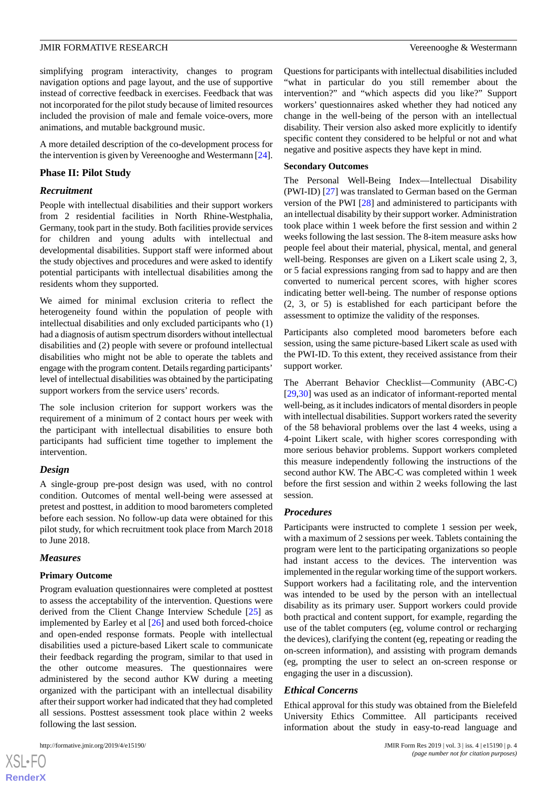simplifying program interactivity, changes to program navigation options and page layout, and the use of supportive instead of corrective feedback in exercises. Feedback that was not incorporated for the pilot study because of limited resources included the provision of male and female voice-overs, more animations, and mutable background music.

A more detailed description of the co-development process for the intervention is given by Vereenooghe and Westermann [[24\]](#page-10-18).

## **Phase II: Pilot Study**

#### *Recruitment*

People with intellectual disabilities and their support workers from 2 residential facilities in North Rhine-Westphalia, Germany, took part in the study. Both facilities provide services for children and young adults with intellectual and developmental disabilities. Support staff were informed about the study objectives and procedures and were asked to identify potential participants with intellectual disabilities among the residents whom they supported.

We aimed for minimal exclusion criteria to reflect the heterogeneity found within the population of people with intellectual disabilities and only excluded participants who (1) had a diagnosis of autism spectrum disorders without intellectual disabilities and (2) people with severe or profound intellectual disabilities who might not be able to operate the tablets and engage with the program content. Details regarding participants' level of intellectual disabilities was obtained by the participating support workers from the service users' records.

The sole inclusion criterion for support workers was the requirement of a minimum of 2 contact hours per week with the participant with intellectual disabilities to ensure both participants had sufficient time together to implement the intervention.

## *Design*

A single-group pre-post design was used, with no control condition. Outcomes of mental well-being were assessed at pretest and posttest, in addition to mood barometers completed before each session. No follow-up data were obtained for this pilot study, for which recruitment took place from March 2018 to June 2018.

## *Measures*

## **Primary Outcome**

Program evaluation questionnaires were completed at posttest to assess the acceptability of the intervention. Questions were derived from the Client Change Interview Schedule [[25\]](#page-10-19) as implemented by Earley et al [[26\]](#page-11-0) and used both forced-choice and open-ended response formats. People with intellectual disabilities used a picture-based Likert scale to communicate their feedback regarding the program, similar to that used in the other outcome measures. The questionnaires were administered by the second author KW during a meeting organized with the participant with an intellectual disability after their support worker had indicated that they had completed all sessions. Posttest assessment took place within 2 weeks following the last session.

 $XS$ -FO **[RenderX](http://www.renderx.com/)** Questions for participants with intellectual disabilities included "what in particular do you still remember about the intervention?" and "which aspects did you like?" Support workers' questionnaires asked whether they had noticed any change in the well-being of the person with an intellectual disability. Their version also asked more explicitly to identify specific content they considered to be helpful or not and what negative and positive aspects they have kept in mind.

#### **Secondary Outcomes**

The Personal Well-Being Index—Intellectual Disability (PWI-ID) [\[27](#page-11-1)] was translated to German based on the German version of the PWI [[28\]](#page-11-2) and administered to participants with an intellectual disability by their support worker. Administration took place within 1 week before the first session and within 2 weeks following the last session. The 8-item measure asks how people feel about their material, physical, mental, and general well-being. Responses are given on a Likert scale using 2, 3, or 5 facial expressions ranging from sad to happy and are then converted to numerical percent scores, with higher scores indicating better well-being. The number of response options (2, 3, or 5) is established for each participant before the assessment to optimize the validity of the responses.

Participants also completed mood barometers before each session, using the same picture-based Likert scale as used with the PWI-ID. To this extent, they received assistance from their support worker.

The Aberrant Behavior Checklist—Community (ABC-C) [[29,](#page-11-3)[30\]](#page-11-4) was used as an indicator of informant-reported mental well-being, as it includes indicators of mental disorders in people with intellectual disabilities. Support workers rated the severity of the 58 behavioral problems over the last 4 weeks, using a 4-point Likert scale, with higher scores corresponding with more serious behavior problems. Support workers completed this measure independently following the instructions of the second author KW. The ABC-C was completed within 1 week before the first session and within 2 weeks following the last session.

## *Procedures*

Participants were instructed to complete 1 session per week, with a maximum of 2 sessions per week. Tablets containing the program were lent to the participating organizations so people had instant access to the devices. The intervention was implemented in the regular working time of the support workers. Support workers had a facilitating role, and the intervention was intended to be used by the person with an intellectual disability as its primary user. Support workers could provide both practical and content support, for example, regarding the use of the tablet computers (eg, volume control or recharging the devices), clarifying the content (eg, repeating or reading the on-screen information), and assisting with program demands (eg, prompting the user to select an on-screen response or engaging the user in a discussion).

## *Ethical Concerns*

Ethical approval for this study was obtained from the Bielefeld University Ethics Committee. All participants received information about the study in easy-to-read language and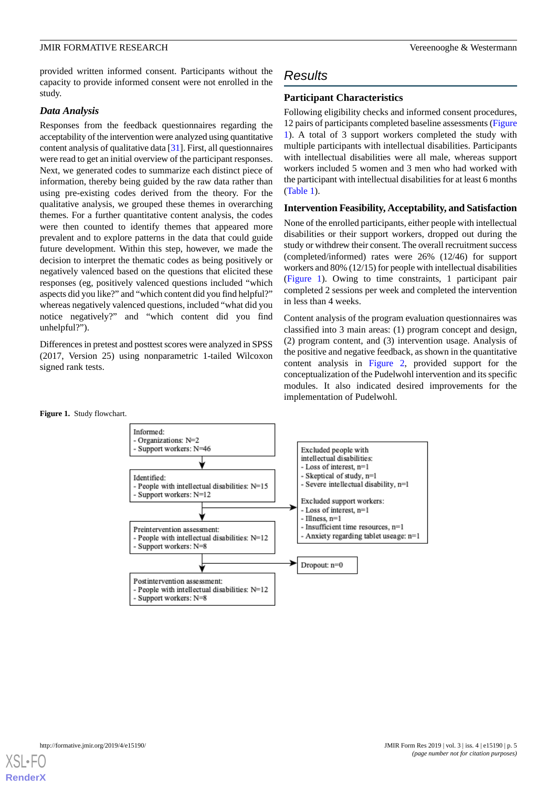provided written informed consent. Participants without the capacity to provide informed consent were not enrolled in the study.

## *Data Analysis*

Responses from the feedback questionnaires regarding the acceptability of the intervention were analyzed using quantitative content analysis of qualitative data [[31](#page-11-5)]. First, all questionnaires were read to get an initial overview of the participant responses. Next, we generated codes to summarize each distinct piece of information, thereby being guided by the raw data rather than using pre-existing codes derived from the theory. For the qualitative analysis, we grouped these themes in overarching themes. For a further quantitative content analysis, the codes were then counted to identify themes that appeared more prevalent and to explore patterns in the data that could guide future development. Within this step, however, we made the decision to interpret the thematic codes as being positively or negatively valenced based on the questions that elicited these responses (eg, positively valenced questions included "which aspects did you like?" and "which content did you find helpful?" whereas negatively valenced questions, included "what did you notice negatively?" and "which content did you find unhelpful?").

<span id="page-4-0"></span>Differences in pretest and posttest scores were analyzed in SPSS (2017, Version 25) using nonparametric 1-tailed Wilcoxon signed rank tests.

## *Results*

## **Participant Characteristics**

Following eligibility checks and informed consent procedures, 12 pairs of participants completed baseline assessments ([Figure](#page-4-0) [1\)](#page-4-0). A total of 3 support workers completed the study with multiple participants with intellectual disabilities. Participants with intellectual disabilities were all male, whereas support workers included 5 women and 3 men who had worked with the participant with intellectual disabilities for at least 6 months ([Table 1](#page-5-0)).

## **Intervention Feasibility, Acceptability, and Satisfaction**

None of the enrolled participants, either people with intellectual disabilities or their support workers, dropped out during the study or withdrew their consent. The overall recruitment success (completed/informed) rates were 26% (12/46) for support workers and 80% (12/15) for people with intellectual disabilities ([Figure 1\)](#page-4-0). Owing to time constraints, 1 participant pair completed 2 sessions per week and completed the intervention in less than 4 weeks.

Content analysis of the program evaluation questionnaires was classified into 3 main areas: (1) program concept and design, (2) program content, and (3) intervention usage. Analysis of the positive and negative feedback, as shown in the quantitative content analysis in [Figure 2,](#page-6-0) provided support for the conceptualization of the Pudelwohl intervention and its specific modules. It also indicated desired improvements for the implementation of Pudelwohl.

#### **Figure 1.** Study flowchart.



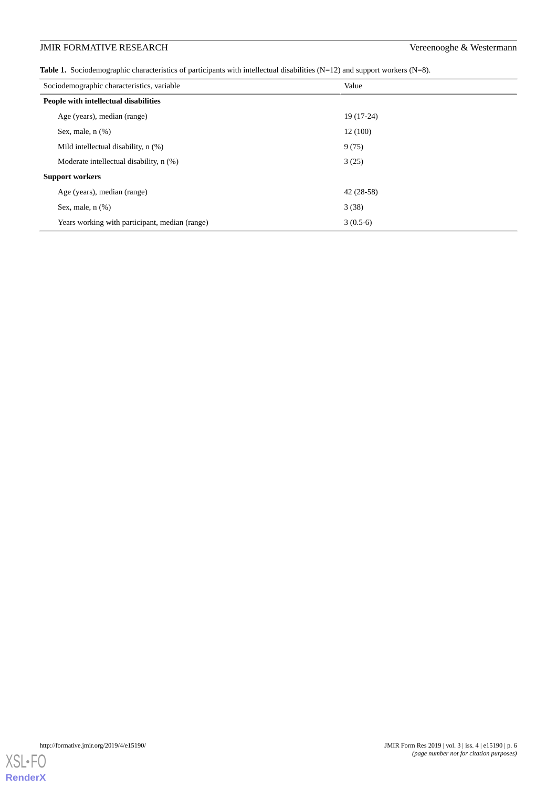<span id="page-5-0"></span>**Table 1.** Sociodemographic characteristics of participants with intellectual disabilities (N=12) and support workers (N=8).

| Sociodemographic characteristics, variable     | Value       |
|------------------------------------------------|-------------|
| People with intellectual disabilities          |             |
| Age (years), median (range)                    | $19(17-24)$ |
| Sex, male, $n$ $(\%)$                          | 12(100)     |
| Mild intellectual disability, n (%)            | 9(75)       |
| Moderate intellectual disability, n (%)        | 3(25)       |
| <b>Support workers</b>                         |             |
| Age (years), median (range)                    | $42(28-58)$ |
| Sex, male, $n$ $(\%)$                          | 3(38)       |
| Years working with participant, median (range) | $3(0.5-6)$  |

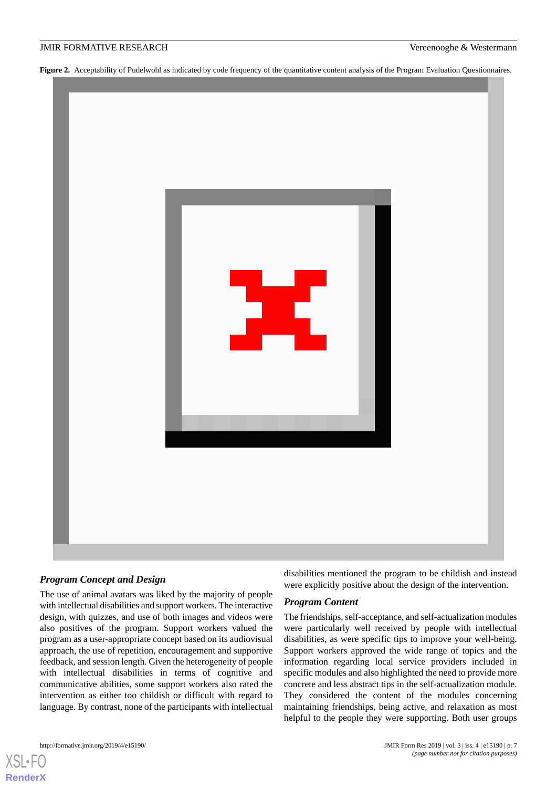<span id="page-6-0"></span>Figure 2. Acceptability of Pudelwohl as indicated by code frequency of the quantitative content analysis of the Program Evaluation Questionnaires.



## *Program Concept and Design*

The use of animal avatars was liked by the majority of people with intellectual disabilities and support workers. The interactive design, with quizzes, and use of both images and videos were also positives of the program. Support workers valued the program as a user-appropriate concept based on its audiovisual approach, the use of repetition, encouragement and supportive feedback, and session length. Given the heterogeneity of people with intellectual disabilities in terms of cognitive and communicative abilities, some support workers also rated the intervention as either too childish or difficult with regard to language. By contrast, none of the participants with intellectual

[XSL](http://www.w3.org/Style/XSL)•FO **[RenderX](http://www.renderx.com/)**

disabilities mentioned the program to be childish and instead were explicitly positive about the design of the intervention.

## *Program Content*

The friendships, self-acceptance, and self-actualization modules were particularly well received by people with intellectual disabilities, as were specific tips to improve your well-being. Support workers approved the wide range of topics and the information regarding local service providers included in specific modules and also highlighted the need to provide more concrete and less abstract tips in the self-actualization module. They considered the content of the modules concerning maintaining friendships, being active, and relaxation as most helpful to the people they were supporting. Both user groups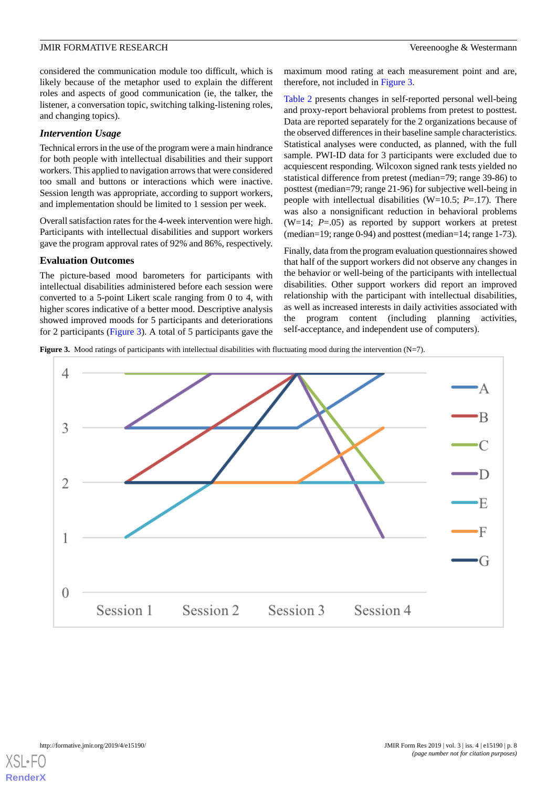considered the communication module too difficult, which is likely because of the metaphor used to explain the different roles and aspects of good communication (ie, the talker, the listener, a conversation topic, switching talking-listening roles, and changing topics).

## *Intervention Usage*

Technical errors in the use of the program were a main hindrance for both people with intellectual disabilities and their support workers. This applied to navigation arrows that were considered too small and buttons or interactions which were inactive. Session length was appropriate, according to support workers, and implementation should be limited to 1 session per week.

Overall satisfaction rates for the 4-week intervention were high. Participants with intellectual disabilities and support workers gave the program approval rates of 92% and 86%, respectively.

#### **Evaluation Outcomes**

The picture-based mood barometers for participants with intellectual disabilities administered before each session were converted to a 5-point Likert scale ranging from 0 to 4, with higher scores indicative of a better mood. Descriptive analysis showed improved moods for 5 participants and deteriorations for 2 participants [\(Figure 3](#page-7-0)). A total of 5 participants gave the

maximum mood rating at each measurement point and are, therefore, not included in [Figure 3.](#page-7-0)

[Table 2](#page-8-0) presents changes in self-reported personal well-being and proxy-report behavioral problems from pretest to posttest. Data are reported separately for the 2 organizations because of the observed differences in their baseline sample characteristics. Statistical analyses were conducted, as planned, with the full sample. PWI-ID data for 3 participants were excluded due to acquiescent responding. Wilcoxon signed rank tests yielded no statistical difference from pretest (median=79; range 39-86) to posttest (median=79; range 21-96) for subjective well-being in people with intellectual disabilities (W=10.5; *P*=.17). There was also a nonsignificant reduction in behavioral problems (W=14;  $P = .05$ ) as reported by support workers at pretest (median=19; range 0-94) and posttest (median=14; range 1-73).

Finally, data from the program evaluation questionnaires showed that half of the support workers did not observe any changes in the behavior or well-being of the participants with intellectual disabilities. Other support workers did report an improved relationship with the participant with intellectual disabilities, as well as increased interests in daily activities associated with the program content (including planning activities, self-acceptance, and independent use of computers).

<span id="page-7-0"></span>**Figure 3.** Mood ratings of participants with intellectual disabilities with fluctuating mood during the intervention (N=7).



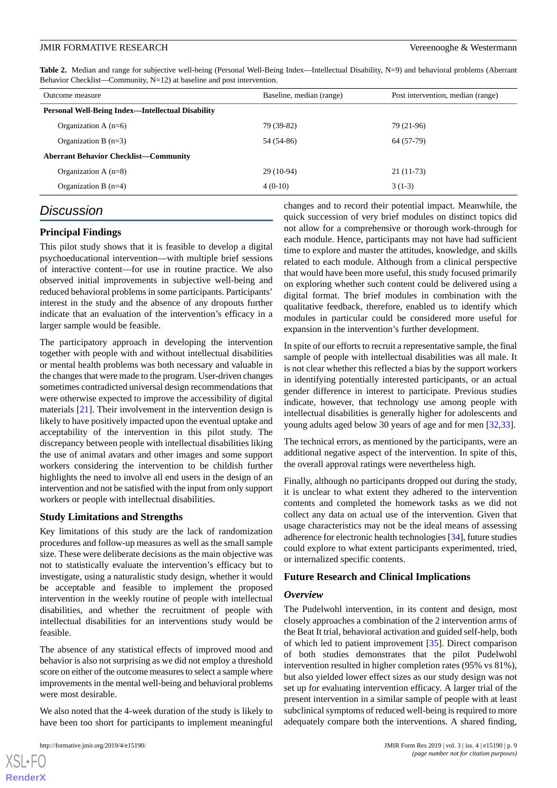<span id="page-8-0"></span>**Table 2.** Median and range for subjective well-being (Personal Well-Being Index—Intellectual Disability, N=9) and behavioral problems (Aberrant Behavior Checklist—Community, N=12) at baseline and post intervention.

| Outcome measure                                          | Baseline, median (range) | Post intervention, median (range) |
|----------------------------------------------------------|--------------------------|-----------------------------------|
| <b>Personal Well-Being Index—Intellectual Disability</b> |                          |                                   |
| Organization A $(n=6)$                                   | 79 (39-82)               | 79 (21-96)                        |
| Organization B $(n=3)$                                   | 54 (54-86)               | 64 (57-79)                        |
| <b>Aberrant Behavior Checklist—Community</b>             |                          |                                   |
| Organization A $(n=8)$                                   | $29(10-94)$              | $21(11-73)$                       |
| Organization B $(n=4)$                                   | $4(0-10)$                | $3(1-3)$                          |

## *Discussion*

## **Principal Findings**

This pilot study shows that it is feasible to develop a digital psychoeducational intervention—with multiple brief sessions of interactive content—for use in routine practice. We also observed initial improvements in subjective well-being and reduced behavioral problems in some participants. Participants' interest in the study and the absence of any dropouts further indicate that an evaluation of the intervention's efficacy in a larger sample would be feasible.

The participatory approach in developing the intervention together with people with and without intellectual disabilities or mental health problems was both necessary and valuable in the changes that were made to the program. User-driven changes sometimes contradicted universal design recommendations that were otherwise expected to improve the accessibility of digital materials [\[21](#page-10-15)]. Their involvement in the intervention design is likely to have positively impacted upon the eventual uptake and acceptability of the intervention in this pilot study. The discrepancy between people with intellectual disabilities liking the use of animal avatars and other images and some support workers considering the intervention to be childish further highlights the need to involve all end users in the design of an intervention and not be satisfied with the input from only support workers or people with intellectual disabilities.

## **Study Limitations and Strengths**

Key limitations of this study are the lack of randomization procedures and follow-up measures as well as the small sample size. These were deliberate decisions as the main objective was not to statistically evaluate the intervention's efficacy but to investigate, using a naturalistic study design, whether it would be acceptable and feasible to implement the proposed intervention in the weekly routine of people with intellectual disabilities, and whether the recruitment of people with intellectual disabilities for an interventions study would be feasible.

The absence of any statistical effects of improved mood and behavior is also not surprising as we did not employ a threshold score on either of the outcome measures to select a sample where improvements in the mental well-being and behavioral problems were most desirable.

We also noted that the 4-week duration of the study is likely to have been too short for participants to implement meaningful

 $X$ SL•FO **[RenderX](http://www.renderx.com/)** changes and to record their potential impact. Meanwhile, the quick succession of very brief modules on distinct topics did not allow for a comprehensive or thorough work-through for each module. Hence, participants may not have had sufficient time to explore and master the attitudes, knowledge, and skills related to each module. Although from a clinical perspective that would have been more useful, this study focused primarily on exploring whether such content could be delivered using a digital format. The brief modules in combination with the qualitative feedback, therefore, enabled us to identify which modules in particular could be considered more useful for expansion in the intervention's further development.

In spite of our efforts to recruit a representative sample, the final sample of people with intellectual disabilities was all male. It is not clear whether this reflected a bias by the support workers in identifying potentially interested participants, or an actual gender difference in interest to participate. Previous studies indicate, however, that technology use among people with intellectual disabilities is generally higher for adolescents and young adults aged below 30 years of age and for men [\[32](#page-11-6),[33\]](#page-11-7).

The technical errors, as mentioned by the participants, were an additional negative aspect of the intervention. In spite of this, the overall approval ratings were nevertheless high.

Finally, although no participants dropped out during the study, it is unclear to what extent they adhered to the intervention contents and completed the homework tasks as we did not collect any data on actual use of the intervention. Given that usage characteristics may not be the ideal means of assessing adherence for electronic health technologies [[34\]](#page-11-8), future studies could explore to what extent participants experimented, tried, or internalized specific contents.

#### **Future Research and Clinical Implications**

#### *Overview*

The Pudelwohl intervention, in its content and design, most closely approaches a combination of the 2 intervention arms of the Beat It trial, behavioral activation and guided self-help, both of which led to patient improvement [[35\]](#page-11-9). Direct comparison of both studies demonstrates that the pilot Pudelwohl intervention resulted in higher completion rates (95% vs 81%), but also yielded lower effect sizes as our study design was not set up for evaluating intervention efficacy. A larger trial of the present intervention in a similar sample of people with at least subclinical symptoms of reduced well-being is required to more adequately compare both the interventions. A shared finding,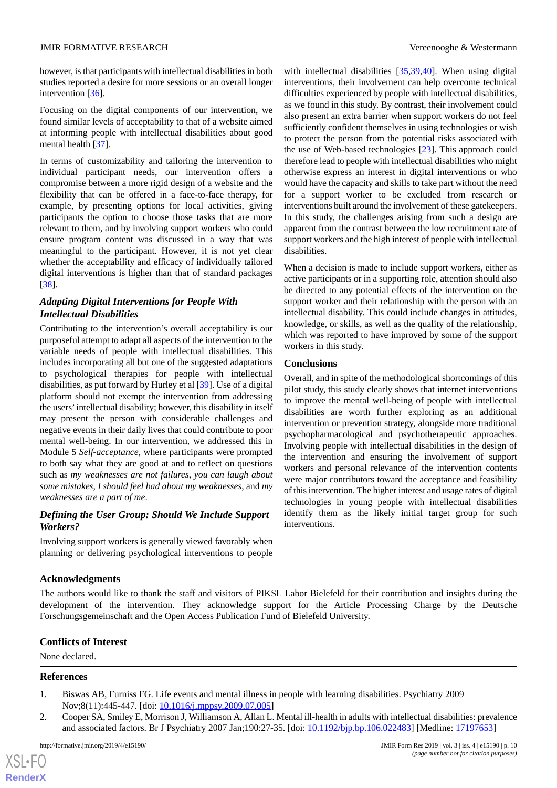however, is that participants with intellectual disabilities in both studies reported a desire for more sessions or an overall longer intervention [\[36](#page-11-10)].

Focusing on the digital components of our intervention, we found similar levels of acceptability to that of a website aimed at informing people with intellectual disabilities about good mental health [\[37](#page-11-11)]*.*

In terms of customizability and tailoring the intervention to individual participant needs, our intervention offers a compromise between a more rigid design of a website and the flexibility that can be offered in a face-to-face therapy, for example, by presenting options for local activities, giving participants the option to choose those tasks that are more relevant to them, and by involving support workers who could ensure program content was discussed in a way that was meaningful to the participant. However, it is not yet clear whether the acceptability and efficacy of individually tailored digital interventions is higher than that of standard packages [[38\]](#page-11-12).

## *Adapting Digital Interventions for People With Intellectual Disabilities*

Contributing to the intervention's overall acceptability is our purposeful attempt to adapt all aspects of the intervention to the variable needs of people with intellectual disabilities. This includes incorporating all but one of the suggested adaptations to psychological therapies for people with intellectual disabilities, as put forward by Hurley et al [\[39](#page-11-13)]. Use of a digital platform should not exempt the intervention from addressing the users'intellectual disability; however, this disability in itself may present the person with considerable challenges and negative events in their daily lives that could contribute to poor mental well-being. In our intervention, we addressed this in Module 5 *Self-acceptance*, where participants were prompted to both say what they are good at and to reflect on questions such as *my weaknesses are not failures*, *you can laugh about some mistakes*, *I should feel bad about my weaknesses*, and *my weaknesses are a part of me*.

## *Defining the User Group: Should We Include Support Workers?*

Involving support workers is generally viewed favorably when planning or delivering psychological interventions to people with intellectual disabilities [[35,](#page-11-9)[39](#page-11-13),[40\]](#page-11-14). When using digital interventions, their involvement can help overcome technical difficulties experienced by people with intellectual disabilities, as we found in this study. By contrast, their involvement could also present an extra barrier when support workers do not feel sufficiently confident themselves in using technologies or wish to protect the person from the potential risks associated with the use of Web-based technologies [\[23](#page-10-17)]. This approach could therefore lead to people with intellectual disabilities who might otherwise express an interest in digital interventions or who would have the capacity and skills to take part without the need for a support worker to be excluded from research or interventions built around the involvement of these gatekeepers. In this study, the challenges arising from such a design are apparent from the contrast between the low recruitment rate of support workers and the high interest of people with intellectual disabilities.

When a decision is made to include support workers, either as active participants or in a supporting role, attention should also be directed to any potential effects of the intervention on the support worker and their relationship with the person with an intellectual disability. This could include changes in attitudes, knowledge, or skills, as well as the quality of the relationship, which was reported to have improved by some of the support workers in this study.

## **Conclusions**

Overall, and in spite of the methodological shortcomings of this pilot study, this study clearly shows that internet interventions to improve the mental well-being of people with intellectual disabilities are worth further exploring as an additional intervention or prevention strategy, alongside more traditional psychopharmacological and psychotherapeutic approaches. Involving people with intellectual disabilities in the design of the intervention and ensuring the involvement of support workers and personal relevance of the intervention contents were major contributors toward the acceptance and feasibility of this intervention. The higher interest and usage rates of digital technologies in young people with intellectual disabilities identify them as the likely initial target group for such interventions.

## **Acknowledgments**

The authors would like to thank the staff and visitors of PIKSL Labor Bielefeld for their contribution and insights during the development of the intervention. They acknowledge support for the Article Processing Charge by the Deutsche Forschungsgemeinschaft and the Open Access Publication Fund of Bielefeld University.

## <span id="page-9-0"></span>**Conflicts of Interest**

None declared.

## **References**

[XSL](http://www.w3.org/Style/XSL)•FO **[RenderX](http://www.renderx.com/)**

- 1. Biswas AB, Furniss FG. Life events and mental illness in people with learning disabilities. Psychiatry 2009 Nov;8(11):445-447. [doi: [10.1016/j.mppsy.2009.07.005\]](http://dx.doi.org/10.1016/j.mppsy.2009.07.005)
- 2. Cooper SA, Smiley E, Morrison J, Williamson A, Allan L. Mental ill-health in adults with intellectual disabilities: prevalence and associated factors. Br J Psychiatry 2007 Jan;190:27-35. [doi: [10.1192/bjp.bp.106.022483\]](http://dx.doi.org/10.1192/bjp.bp.106.022483) [Medline: [17197653](http://www.ncbi.nlm.nih.gov/entrez/query.fcgi?cmd=Retrieve&db=PubMed&list_uids=17197653&dopt=Abstract)]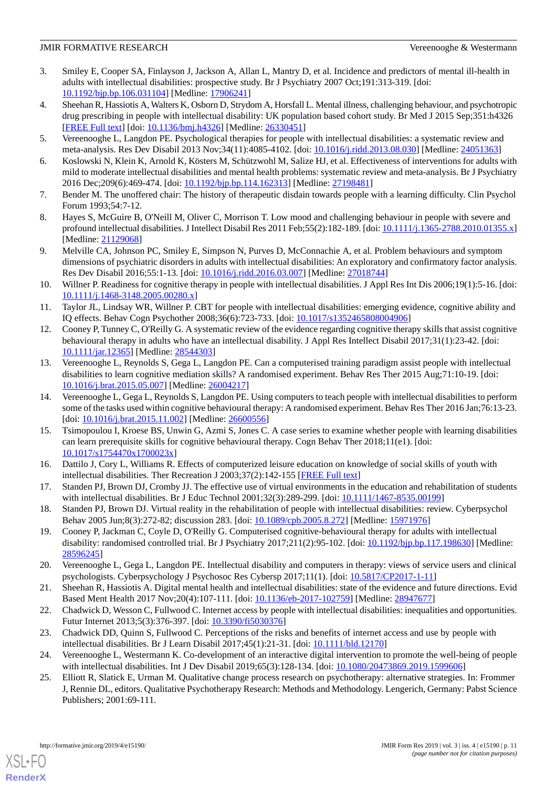- <span id="page-10-0"></span>3. Smiley E, Cooper SA, Finlayson J, Jackson A, Allan L, Mantry D, et al. Incidence and predictors of mental ill-health in adults with intellectual disabilities: prospective study. Br J Psychiatry 2007 Oct;191:313-319. [doi: [10.1192/bjp.bp.106.031104](http://dx.doi.org/10.1192/bjp.bp.106.031104)] [Medline: [17906241\]](http://www.ncbi.nlm.nih.gov/entrez/query.fcgi?cmd=Retrieve&db=PubMed&list_uids=17906241&dopt=Abstract)
- <span id="page-10-1"></span>4. Sheehan R, Hassiotis A, Walters K, Osborn D, Strydom A, Horsfall L. Mental illness, challenging behaviour, and psychotropic drug prescribing in people with intellectual disability: UK population based cohort study. Br Med J 2015 Sep;351:h4326 [[FREE Full text](http://www.bmj.com/cgi/pmidlookup?view=long&pmid=26330451)] [doi: [10.1136/bmj.h4326\]](http://dx.doi.org/10.1136/bmj.h4326) [Medline: [26330451\]](http://www.ncbi.nlm.nih.gov/entrez/query.fcgi?cmd=Retrieve&db=PubMed&list_uids=26330451&dopt=Abstract)
- <span id="page-10-3"></span><span id="page-10-2"></span>5. Vereenooghe L, Langdon PE. Psychological therapies for people with intellectual disabilities: a systematic review and meta-analysis. Res Dev Disabil 2013 Nov;34(11):4085-4102. [doi: [10.1016/j.ridd.2013.08.030\]](http://dx.doi.org/10.1016/j.ridd.2013.08.030) [Medline: [24051363\]](http://www.ncbi.nlm.nih.gov/entrez/query.fcgi?cmd=Retrieve&db=PubMed&list_uids=24051363&dopt=Abstract)
- <span id="page-10-4"></span>6. Koslowski N, Klein K, Arnold K, Kösters M, Schützwohl M, Salize HJ, et al. Effectiveness of interventions for adults with mild to moderate intellectual disabilities and mental health problems: systematic review and meta-analysis. Br J Psychiatry 2016 Dec;209(6):469-474. [doi: [10.1192/bjp.bp.114.162313\]](http://dx.doi.org/10.1192/bjp.bp.114.162313) [Medline: [27198481](http://www.ncbi.nlm.nih.gov/entrez/query.fcgi?cmd=Retrieve&db=PubMed&list_uids=27198481&dopt=Abstract)]
- 7. Bender M. The unoffered chair: The history of therapeutic disdain towards people with a learning difficulty. Clin Psychol Forum 1993;54:7-12.
- <span id="page-10-5"></span>8. Hayes S, McGuire B, O'Neill M, Oliver C, Morrison T. Low mood and challenging behaviour in people with severe and profound intellectual disabilities. J Intellect Disabil Res 2011 Feb;55(2):182-189. [doi: [10.1111/j.1365-2788.2010.01355.x](http://dx.doi.org/10.1111/j.1365-2788.2010.01355.x)] [Medline: [21129068](http://www.ncbi.nlm.nih.gov/entrez/query.fcgi?cmd=Retrieve&db=PubMed&list_uids=21129068&dopt=Abstract)]
- <span id="page-10-6"></span>9. Melville CA, Johnson PC, Smiley E, Simpson N, Purves D, McConnachie A, et al. Problem behaviours and symptom dimensions of psychiatric disorders in adults with intellectual disabilities: An exploratory and confirmatory factor analysis. Res Dev Disabil 2016;55:1-13. [doi: [10.1016/j.ridd.2016.03.007\]](http://dx.doi.org/10.1016/j.ridd.2016.03.007) [Medline: [27018744\]](http://www.ncbi.nlm.nih.gov/entrez/query.fcgi?cmd=Retrieve&db=PubMed&list_uids=27018744&dopt=Abstract)
- <span id="page-10-7"></span>10. Willner P. Readiness for cognitive therapy in people with intellectual disabilities. J Appl Res Int Dis 2006;19(1):5-16. [doi: [10.1111/j.1468-3148.2005.00280.x\]](http://dx.doi.org/10.1111/j.1468-3148.2005.00280.x)
- <span id="page-10-8"></span>11. Taylor JL, Lindsay WR, Willner P. CBT for people with intellectual disabilities: emerging evidence, cognitive ability and IQ effects. Behav Cogn Psychother 2008;36(6):723-733. [doi: [10.1017/s1352465808004906](http://dx.doi.org/10.1017/s1352465808004906)]
- <span id="page-10-9"></span>12. Cooney P, Tunney C, O'Reilly G. A systematic review of the evidence regarding cognitive therapy skills that assist cognitive behavioural therapy in adults who have an intellectual disability. J Appl Res Intellect Disabil 2017;31(1):23-42. [doi: [10.1111/jar.12365](http://dx.doi.org/10.1111/jar.12365)] [Medline: [28544303](http://www.ncbi.nlm.nih.gov/entrez/query.fcgi?cmd=Retrieve&db=PubMed&list_uids=28544303&dopt=Abstract)]
- 13. Vereenooghe L, Reynolds S, Gega L, Langdon PE. Can a computerised training paradigm assist people with intellectual disabilities to learn cognitive mediation skills? A randomised experiment. Behav Res Ther 2015 Aug;71:10-19. [doi: [10.1016/j.brat.2015.05.007](http://dx.doi.org/10.1016/j.brat.2015.05.007)] [Medline: [26004217\]](http://www.ncbi.nlm.nih.gov/entrez/query.fcgi?cmd=Retrieve&db=PubMed&list_uids=26004217&dopt=Abstract)
- <span id="page-10-10"></span>14. Vereenooghe L, Gega L, Reynolds S, Langdon PE. Using computers to teach people with intellectual disabilities to perform some of the tasks used within cognitive behavioural therapy: A randomised experiment. Behav Res Ther 2016 Jan;76:13-23. [doi: [10.1016/j.brat.2015.11.002](http://dx.doi.org/10.1016/j.brat.2015.11.002)] [Medline: [26600556](http://www.ncbi.nlm.nih.gov/entrez/query.fcgi?cmd=Retrieve&db=PubMed&list_uids=26600556&dopt=Abstract)]
- <span id="page-10-11"></span>15. Tsimopoulou I, Kroese BS, Unwin G, Azmi S, Jones C. A case series to examine whether people with learning disabilities can learn prerequisite skills for cognitive behavioural therapy. Cogn Behav Ther 2018;11(e1). [doi: [10.1017/s1754470x1700023x\]](http://dx.doi.org/10.1017/s1754470x1700023x)
- <span id="page-10-12"></span>16. Dattilo J, Cory L, Williams R. Effects of computerized leisure education on knowledge of social skills of youth with intellectual disabilities. Ther Recreation J 2003;37(2):142-155 [[FREE Full text](https://js.sagamorepub.com/trj/article/view/1020)]
- <span id="page-10-13"></span>17. Standen PJ, Brown DJ, Cromby JJ. The effective use of virtual environments in the education and rehabilitation of students with intellectual disabilities. Br J Educ Technol 2001;32(3):289-299. [doi: [10.1111/1467-8535.00199\]](http://dx.doi.org/10.1111/1467-8535.00199)
- <span id="page-10-14"></span>18. Standen PJ, Brown DJ. Virtual reality in the rehabilitation of people with intellectual disabilities: review. Cyberpsychol Behav 2005 Jun;8(3):272-82; discussion 283. [doi: [10.1089/cpb.2005.8.272\]](http://dx.doi.org/10.1089/cpb.2005.8.272) [Medline: [15971976\]](http://www.ncbi.nlm.nih.gov/entrez/query.fcgi?cmd=Retrieve&db=PubMed&list_uids=15971976&dopt=Abstract)
- <span id="page-10-15"></span>19. Cooney P, Jackman C, Coyle D, O'Reilly G. Computerised cognitive-behavioural therapy for adults with intellectual disability: randomised controlled trial. Br J Psychiatry 2017;211(2):95-102. [doi: [10.1192/bjp.bp.117.198630\]](http://dx.doi.org/10.1192/bjp.bp.117.198630) [Medline: [28596245](http://www.ncbi.nlm.nih.gov/entrez/query.fcgi?cmd=Retrieve&db=PubMed&list_uids=28596245&dopt=Abstract)]
- <span id="page-10-17"></span><span id="page-10-16"></span>20. Vereenooghe L, Gega L, Langdon PE. Intellectual disability and computers in therapy: views of service users and clinical psychologists. Cyberpsychology J Psychosoc Res Cybersp 2017;11(1). [doi: [10.5817/CP2017-1-11\]](http://dx.doi.org/10.5817/CP2017-1-11)
- <span id="page-10-18"></span>21. Sheehan R, Hassiotis A. Digital mental health and intellectual disabilities: state of the evidence and future directions. Evid Based Ment Health 2017 Nov;20(4):107-111. [doi: [10.1136/eb-2017-102759](http://dx.doi.org/10.1136/eb-2017-102759)] [Medline: [28947677\]](http://www.ncbi.nlm.nih.gov/entrez/query.fcgi?cmd=Retrieve&db=PubMed&list_uids=28947677&dopt=Abstract)
- <span id="page-10-19"></span>22. Chadwick D, Wesson C, Fullwood C. Internet access by people with intellectual disabilities: inequalities and opportunities. Futur Internet 2013;5(3):376-397. [doi: [10.3390/fi5030376](http://dx.doi.org/10.3390/fi5030376)]
- 23. Chadwick DD, Quinn S, Fullwood C. Perceptions of the risks and benefits of internet access and use by people with intellectual disabilities. Br J Learn Disabil 2017;45(1):21-31. [doi: [10.1111/bld.12170](http://dx.doi.org/10.1111/bld.12170)]
- 24. Vereenooghe L, Westermann K. Co-development of an interactive digital intervention to promote the well-being of people with intellectual disabilities. Int J Dev Disabil 2019;65(3):128-134. [doi: [10.1080/20473869.2019.1599606\]](http://dx.doi.org/10.1080/20473869.2019.1599606)
- 25. Elliott R, Slatick E, Urman M. Qualitative change process research on psychotherapy: alternative strategies. In: Frommer J, Rennie DL, editors. Qualitative Psychotherapy Research: Methods and Methodology. Lengerich, Germany: Pabst Science Publishers; 2001:69-111.

[XSL](http://www.w3.org/Style/XSL)•FO **[RenderX](http://www.renderx.com/)**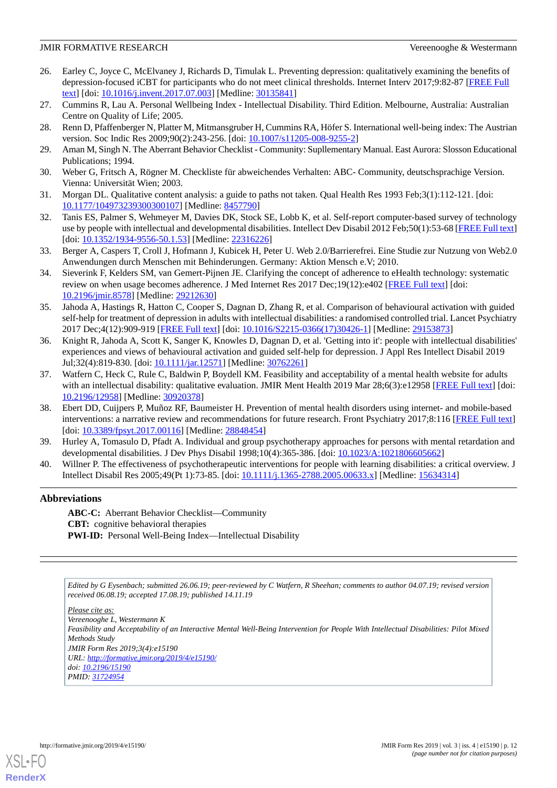- <span id="page-11-0"></span>26. Earley C, Joyce C, McElvaney J, Richards D, Timulak L. Preventing depression: qualitatively examining the benefits of depression-focused iCBT for participants who do not meet clinical thresholds. Internet Interv 2017;9:82-87 [[FREE Full](https://linkinghub.elsevier.com/retrieve/pii/S2214-7829(17)30068-4) [text](https://linkinghub.elsevier.com/retrieve/pii/S2214-7829(17)30068-4)] [doi: [10.1016/j.invent.2017.07.003](http://dx.doi.org/10.1016/j.invent.2017.07.003)] [Medline: [30135841\]](http://www.ncbi.nlm.nih.gov/entrez/query.fcgi?cmd=Retrieve&db=PubMed&list_uids=30135841&dopt=Abstract)
- <span id="page-11-2"></span><span id="page-11-1"></span>27. Cummins R, Lau A. Personal Wellbeing Index - Intellectual Disability. Third Edition. Melbourne, Australia: Australian Centre on Quality of Life; 2005.
- <span id="page-11-3"></span>28. Renn D, Pfaffenberger N, Platter M, Mitmansgruber H, Cummins RA, Höfer S. International well-being index: The Austrian version. Soc Indic Res 2009;90(2):243-256. [doi: [10.1007/s11205-008-9255-2\]](http://dx.doi.org/10.1007/s11205-008-9255-2)
- <span id="page-11-4"></span>29. Aman M, Singh N. The Aberrant Behavior Checklist - Community: Supllementary Manual. East Aurora: Slosson Educational Publications; 1994.
- <span id="page-11-5"></span>30. Weber G, Fritsch A, Rögner M. Checkliste für abweichendes Verhalten: ABC- Community, deutschsprachige Version. Vienna: Universität Wien; 2003.
- <span id="page-11-6"></span>31. Morgan DL. Qualitative content analysis: a guide to paths not taken. Qual Health Res 1993 Feb;3(1):112-121. [doi: [10.1177/104973239300300107\]](http://dx.doi.org/10.1177/104973239300300107) [Medline: [8457790\]](http://www.ncbi.nlm.nih.gov/entrez/query.fcgi?cmd=Retrieve&db=PubMed&list_uids=8457790&dopt=Abstract)
- <span id="page-11-7"></span>32. Tanis ES, Palmer S, Wehmeyer M, Davies DK, Stock SE, Lobb K, et al. Self-report computer-based survey of technology use by people with intellectual and developmental disabilities. Intellect Dev Disabil 2012 Feb;50(1):53-68 [\[FREE Full text](http://europepmc.org/abstract/MED/22316226)] [doi: [10.1352/1934-9556-50.1.53\]](http://dx.doi.org/10.1352/1934-9556-50.1.53) [Medline: [22316226\]](http://www.ncbi.nlm.nih.gov/entrez/query.fcgi?cmd=Retrieve&db=PubMed&list_uids=22316226&dopt=Abstract)
- <span id="page-11-8"></span>33. Berger A, Caspers T, Croll J, Hofmann J, Kubicek H, Peter U. Web 2.0/Barrierefrei. Eine Studie zur Nutzung von Web2.0 Anwendungen durch Menschen mit Behinderungen. Germany: Aktion Mensch e.V; 2010.
- <span id="page-11-9"></span>34. Sieverink F, Kelders SM, van Gemert-Pijnen JE. Clarifying the concept of adherence to eHealth technology: systematic review on when usage becomes adherence. J Med Internet Res 2017 Dec;19(12):e402 [\[FREE Full text\]](https://www.jmir.org/2017/12/e402/) [doi: [10.2196/jmir.8578](http://dx.doi.org/10.2196/jmir.8578)] [Medline: [29212630](http://www.ncbi.nlm.nih.gov/entrez/query.fcgi?cmd=Retrieve&db=PubMed&list_uids=29212630&dopt=Abstract)]
- <span id="page-11-10"></span>35. Jahoda A, Hastings R, Hatton C, Cooper S, Dagnan D, Zhang R, et al. Comparison of behavioural activation with guided self-help for treatment of depression in adults with intellectual disabilities: a randomised controlled trial. Lancet Psychiatry 2017 Dec;4(12):909-919 [[FREE Full text\]](https://linkinghub.elsevier.com/retrieve/pii/S2215-0366(17)30426-1) [doi: [10.1016/S2215-0366\(17\)30426-1](http://dx.doi.org/10.1016/S2215-0366(17)30426-1)] [Medline: [29153873](http://www.ncbi.nlm.nih.gov/entrez/query.fcgi?cmd=Retrieve&db=PubMed&list_uids=29153873&dopt=Abstract)]
- <span id="page-11-11"></span>36. Knight R, Jahoda A, Scott K, Sanger K, Knowles D, Dagnan D, et al. 'Getting into it': people with intellectual disabilities' experiences and views of behavioural activation and guided self-help for depression. J Appl Res Intellect Disabil 2019 Jul;32(4):819-830. [doi: [10.1111/jar.12571\]](http://dx.doi.org/10.1111/jar.12571) [Medline: [30762261\]](http://www.ncbi.nlm.nih.gov/entrez/query.fcgi?cmd=Retrieve&db=PubMed&list_uids=30762261&dopt=Abstract)
- <span id="page-11-12"></span>37. Watfern C, Heck C, Rule C, Baldwin P, Boydell KM. Feasibility and acceptability of a mental health website for adults with an intellectual disability: qualitative evaluation. JMIR Ment Health 2019 Mar 28;6(3):e12958 [[FREE Full text](https://mental.jmir.org/2019/3/e12958/)] [doi: [10.2196/12958\]](http://dx.doi.org/10.2196/12958) [Medline: [30920378\]](http://www.ncbi.nlm.nih.gov/entrez/query.fcgi?cmd=Retrieve&db=PubMed&list_uids=30920378&dopt=Abstract)
- <span id="page-11-14"></span><span id="page-11-13"></span>38. Ebert DD, Cuijpers P, Muñoz RF, Baumeister H. Prevention of mental health disorders using internet- and mobile-based interventions: a narrative review and recommendations for future research. Front Psychiatry 2017;8:116 [\[FREE Full text\]](https://doi.org/10.3389/fpsyt.2017.00116) [doi: [10.3389/fpsyt.2017.00116](http://dx.doi.org/10.3389/fpsyt.2017.00116)] [Medline: [28848454\]](http://www.ncbi.nlm.nih.gov/entrez/query.fcgi?cmd=Retrieve&db=PubMed&list_uids=28848454&dopt=Abstract)
- 39. Hurley A, Tomasulo D, Pfadt A. Individual and group psychotherapy approaches for persons with mental retardation and developmental disabilities. J Dev Phys Disabil 1998;10(4):365-386. [doi: [10.1023/A:1021806605662\]](http://dx.doi.org/10.1023/A:1021806605662)
- 40. Willner P. The effectiveness of psychotherapeutic interventions for people with learning disabilities: a critical overview. J Intellect Disabil Res 2005;49(Pt 1):73-85. [doi: [10.1111/j.1365-2788.2005.00633.x\]](http://dx.doi.org/10.1111/j.1365-2788.2005.00633.x) [Medline: [15634314\]](http://www.ncbi.nlm.nih.gov/entrez/query.fcgi?cmd=Retrieve&db=PubMed&list_uids=15634314&dopt=Abstract)

## **Abbreviations**

**ABC-C:** Aberrant Behavior Checklist—Community **CBT:** cognitive behavioral therapies PWI-ID: Personal Well-Being Index—Intellectual Disability

*Edited by G Eysenbach; submitted 26.06.19; peer-reviewed by C Watfern, R Sheehan; comments to author 04.07.19; revised version received 06.08.19; accepted 17.08.19; published 14.11.19*

*Please cite as: Vereenooghe L, Westermann K Feasibility and Acceptability of an Interactive Mental Well-Being Intervention for People With Intellectual Disabilities: Pilot Mixed Methods Study JMIR Form Res 2019;3(4):e15190 URL: <http://formative.jmir.org/2019/4/e15190/> doi: [10.2196/15190](http://dx.doi.org/10.2196/15190) PMID: [31724954](http://www.ncbi.nlm.nih.gov/entrez/query.fcgi?cmd=Retrieve&db=PubMed&list_uids=31724954&dopt=Abstract)*